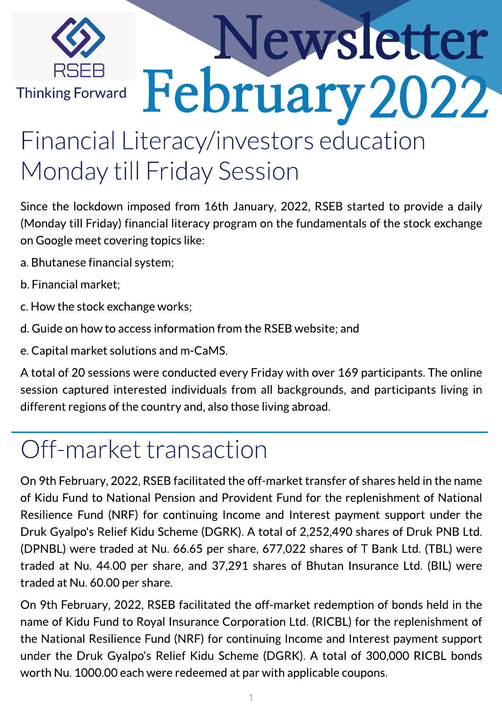

# Newsletter February 2022

### Financial Literacy/investors education Monday till Friday Session

Since the lockdown imposed from 16th January, 2022, RSEB started to provide a daily (Monday till Friday) financial literacy program on the fundamentals of the stock exchange on Google meet covering topics like:

- a.Bhutanese financial system;
- b.Financial market;
- c.How the stock exchange works;
- d.Guide on how to access information from the RSEB website; and
- e.Capital market solutionsand m-CaMS.

A total of 20 sessions were conducted every Friday with over 169 participants. The online session captured interested individuals from all backgrounds, and participants living in different regions of the country and, also those living abroad.

### Off-market transaction

On 9th February, 2022, RSEB facilitated the off-market transfer of shares held in the name of Kidu Fund to National Pension and Provident Fund for the replenishment of National Resilience Fund (NRF) for continuing Income and Interest payment support under the Druk Gyalpo's Relief Kidu Scheme (DGRK). A total of 2,252,490 shares of Druk PNB Ltd. (DPNBL) were traded at Nu. 66.65 per share, 677,022 shares of T Bank Ltd. (TBL) were traded at Nu. 44.00 per share, and 37,291 shares of Bhutan Insurance Ltd. (BIL) were traded at Nu.60.00 per share.

On 9th February, 2022, RSEB facilitated the off-market redemption of bonds held in the name of Kidu Fund to Royal Insurance Corporation Ltd. (RICBL) for the replenishment of the National Resilience Fund (NRF) for continuing Income and Interest payment support under the Druk Gyalpo's Relief Kidu Scheme (DGRK). A total of 300,000 RICBL bonds worth Nu.1000.00 each were redeemed at par with applicable coupons.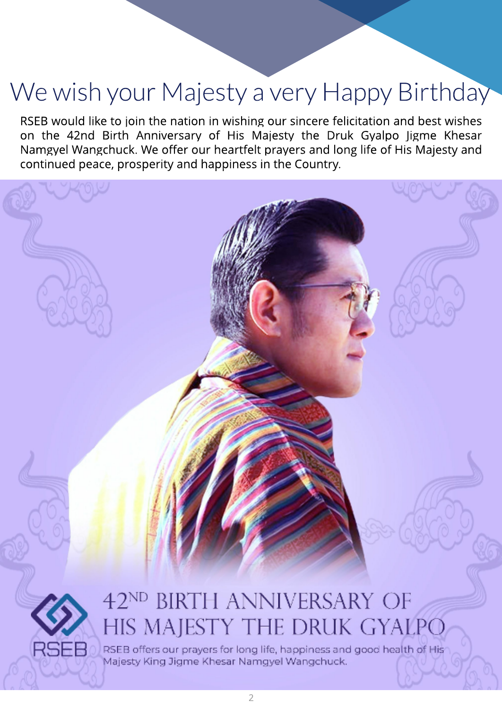### We wish your Majesty a very Happy Birthday

RSEB would like to join the nation in wishing our sincere felicitation and best wishes on the 42nd Birth Anniversary of His Majesty the Druk Gyalpo Jigme Khesar Namgyel Wangchuck. We offer our heartfelt prayers and long life of His Majesty and continued peace, prosperity and happiness in the Country.





## HIS MAJESTY THE DRUK GYALPO

RSEB offers our prayers for long life, happiness and good health of His Majesty King Jigme Khesar Namgyel Wangchuck.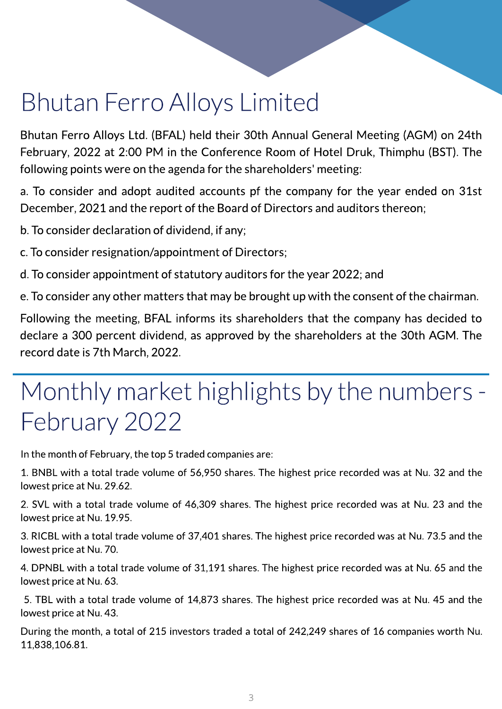### **Bhutan Ferro Alloys Limited**

Bhutan Ferro Alloys Ltd. (BFAL) held their 30th Annual General Meeting (AGM) on 24th February, 2022 at 2:00 PM in the Conference Room of Hotel Druk, Thimphu (BST). The following points were on the agenda for the shareholders' meeting:

a. To consider and adopt audited accounts pf the company for the year ended on 31st December, 2021 and the report of the Board of Directors and auditors thereon;

b. To consider declaration of dividend, if any;

c.To consider resignation/appointment of Directors;

d.To consider appointment of statutory auditors for the year 2022; and

e.To consider any other matters that may be brought up with the consent of the chairman.

Following the meeting, BFAL informs its shareholders that the company has decided to declare a 300 percent dividend, as approved by the shareholders at the 30th AGM. The record date is 7th March, 2022.

### Monthly market highlights by the numbers -February 2022

In the month of February, the top 5 traded companies are:

1. BNBL with a total trade volume of 56,950 shares. The highest price recorded was at Nu. 32 and the lowest price at Nu.29.62.

2. SVL with a total trade volume of 46,309 shares. The highest price recorded was at Nu. 23 and the lowest price at Nu.19.95.

3. RICBL with a total trade volume of 37,401 shares. The highest price recorded was at Nu. 73.5 and the lowest price at Nu.70.

4. DPNBL with a total trade volume of 31,191 shares. The highest price recorded was at Nu. 65 and the lowest price at Nu.63.

5. TBL with a total trade volume of 14,873 shares. The highest price recorded was at Nu. 45 and the lowest price at Nu.43.

During the month, a total of 215 investors traded a total of 242,249 shares of 16 companies worth Nu. 11,838,106.81.